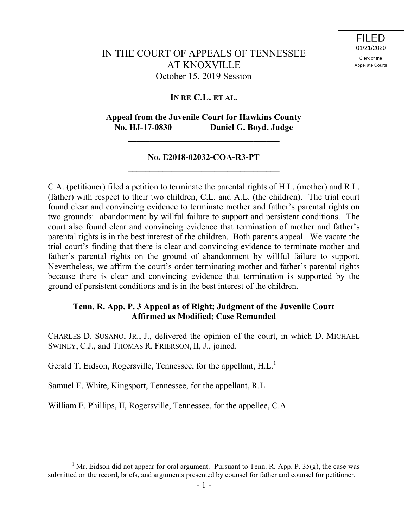# IN THE COURT OF APPEALS OF TENNESSEE AT KNOXVILLE October 15, 2019 Session

## **IN RE C.L. ET AL.**

## **Appeal from the Juvenile Court for Hawkins County No. HJ-17-0830 Daniel G. Boyd, Judge**

**\_\_\_\_\_\_\_\_\_\_\_\_\_\_\_\_\_\_\_\_\_\_\_\_\_\_\_\_\_\_\_\_\_\_\_**

## **No. E2018-02032-COA-R3-PT \_\_\_\_\_\_\_\_\_\_\_\_\_\_\_\_\_\_\_\_\_\_\_\_\_\_\_\_\_\_\_\_\_\_\_**

C.A. (petitioner) filed a petition to terminate the parental rights of H.L. (mother) and R.L. (father) with respect to their two children, C.L. and A.L. (the children). The trial court found clear and convincing evidence to terminate mother and father's parental rights on two grounds: abandonment by willful failure to support and persistent conditions. The court also found clear and convincing evidence that termination of mother and father's parental rights is in the best interest of the children. Both parents appeal. We vacate the trial court's finding that there is clear and convincing evidence to terminate mother and father's parental rights on the ground of abandonment by willful failure to support. Nevertheless, we affirm the court's order terminating mother and father's parental rights because there is clear and convincing evidence that termination is supported by the ground of persistent conditions and is in the best interest of the children.

## **Tenn. R. App. P. 3 Appeal as of Right; Judgment of the Juvenile Court Affirmed as Modified; Case Remanded**

CHARLES D. SUSANO, JR., J., delivered the opinion of the court, in which D. MICHAEL SWINEY, C.J., and THOMAS R. FRIERSON, II, J., joined.

Gerald T. Eidson, Rogersville, Tennessee, for the appellant, H.L.<sup>1</sup>

Samuel E. White, Kingsport, Tennessee, for the appellant, R.L.

 $\overline{a}$ 

William E. Phillips, II, Rogersville, Tennessee, for the appellee, C.A.

<sup>&</sup>lt;sup>1</sup> Mr. Eidson did not appear for oral argument. Pursuant to Tenn. R. App. P.  $35(g)$ , the case was submitted on the record, briefs, and arguments presented by counsel for father and counsel for petitioner.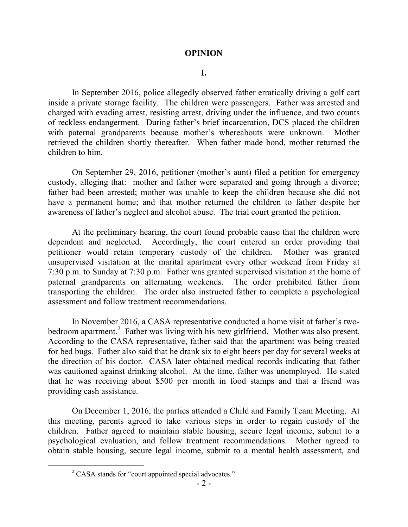## **OPINION**

#### **I.**

In September 2016, police allegedly observed father erratically driving a golf cart inside a private storage facility. The children were passengers. Father was arrested and charged with evading arrest, resisting arrest, driving under the influence, and two counts of reckless endangerment. During father's brief incarceration, DCS placed the children with paternal grandparents because mother's whereabouts were unknown. Mother retrieved the children shortly thereafter. When father made bond, mother returned the children to him.

On September 29, 2016, petitioner (mother's aunt) filed a petition for emergency custody, alleging that: mother and father were separated and going through a divorce; father had been arrested; mother was unable to keep the children because she did not have a permanent home; and that mother returned the children to father despite her awareness of father's neglect and alcohol abuse. The trial court granted the petition.

At the preliminary hearing, the court found probable cause that the children were dependent and neglected. Accordingly, the court entered an order providing that petitioner would retain temporary custody of the children. Mother was granted unsupervised visitation at the marital apartment every other weekend from Friday at 7:30 p.m. to Sunday at 7:30 p.m. Father was granted supervised visitation at the home of paternal grandparents on alternating weekends. The order prohibited father from transporting the children. The order also instructed father to complete a psychological assessment and follow treatment recommendations.

In November 2016, a CASA representative conducted a home visit at father's twobedroom apartment.<sup>2</sup> Father was living with his new girlfriend. Mother was also present. According to the CASA representative, father said that the apartment was being treated for bed bugs. Father also said that he drank six to eight beers per day for several weeks at the direction of his doctor. CASA later obtained medical records indicating that father was cautioned against drinking alcohol. At the time, father was unemployed. He stated that he was receiving about \$500 per month in food stamps and that a friend was providing cash assistance.

On December 1, 2016, the parties attended a Child and Family Team Meeting. At this meeting, parents agreed to take various steps in order to regain custody of the children. Father agreed to maintain stable housing, secure legal income, submit to a psychological evaluation, and follow treatment recommendations. Mother agreed to obtain stable housing, secure legal income, submit to a mental health assessment, and

<sup>&</sup>lt;sup>2</sup> CASA stands for "court appointed special advocates."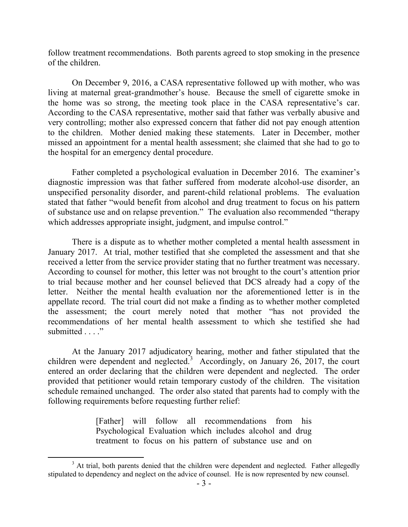follow treatment recommendations. Both parents agreed to stop smoking in the presence of the children.

On December 9, 2016, a CASA representative followed up with mother, who was living at maternal great-grandmother's house. Because the smell of cigarette smoke in the home was so strong, the meeting took place in the CASA representative's car. According to the CASA representative, mother said that father was verbally abusive and very controlling; mother also expressed concern that father did not pay enough attention to the children. Mother denied making these statements. Later in December, mother missed an appointment for a mental health assessment; she claimed that she had to go to the hospital for an emergency dental procedure.

Father completed a psychological evaluation in December 2016. The examiner's diagnostic impression was that father suffered from moderate alcohol-use disorder, an unspecified personality disorder, and parent-child relational problems. The evaluation stated that father "would benefit from alcohol and drug treatment to focus on his pattern of substance use and on relapse prevention." The evaluation also recommended "therapy which addresses appropriate insight, judgment, and impulse control."

There is a dispute as to whether mother completed a mental health assessment in January 2017. At trial, mother testified that she completed the assessment and that she received a letter from the service provider stating that no further treatment was necessary. According to counsel for mother, this letter was not brought to the court's attention prior to trial because mother and her counsel believed that DCS already had a copy of the letter. Neither the mental health evaluation nor the aforementioned letter is in the appellate record. The trial court did not make a finding as to whether mother completed the assessment; the court merely noted that mother "has not provided the recommendations of her mental health assessment to which she testified she had submitted . . . ."

At the January 2017 adjudicatory hearing, mother and father stipulated that the children were dependent and neglected.<sup>3</sup> Accordingly, on January 26, 2017, the court entered an order declaring that the children were dependent and neglected. The order provided that petitioner would retain temporary custody of the children. The visitation schedule remained unchanged. The order also stated that parents had to comply with the following requirements before requesting further relief:

> [Father] will follow all recommendations from his Psychological Evaluation which includes alcohol and drug treatment to focus on his pattern of substance use and on

 $3$  At trial, both parents denied that the children were dependent and neglected. Father allegedly stipulated to dependency and neglect on the advice of counsel. He is now represented by new counsel.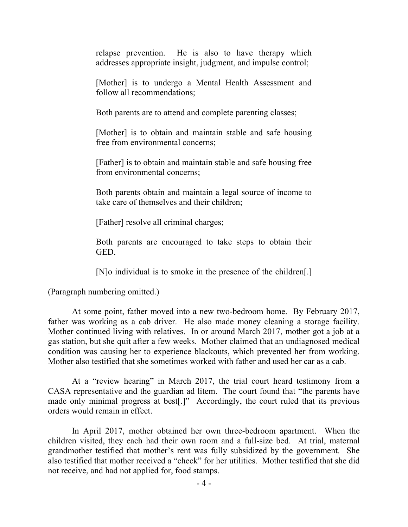relapse prevention. He is also to have therapy which addresses appropriate insight, judgment, and impulse control;

[Mother] is to undergo a Mental Health Assessment and follow all recommendations;

Both parents are to attend and complete parenting classes;

[Mother] is to obtain and maintain stable and safe housing free from environmental concerns;

[Father] is to obtain and maintain stable and safe housing free from environmental concerns;

Both parents obtain and maintain a legal source of income to take care of themselves and their children;

[Father] resolve all criminal charges;

Both parents are encouraged to take steps to obtain their GED.

[N]o individual is to smoke in the presence of the children[.]

(Paragraph numbering omitted.)

At some point, father moved into a new two-bedroom home. By February 2017, father was working as a cab driver. He also made money cleaning a storage facility. Mother continued living with relatives. In or around March 2017, mother got a job at a gas station, but she quit after a few weeks. Mother claimed that an undiagnosed medical condition was causing her to experience blackouts, which prevented her from working. Mother also testified that she sometimes worked with father and used her car as a cab.

At a "review hearing" in March 2017, the trial court heard testimony from a CASA representative and the guardian ad litem. The court found that "the parents have made only minimal progress at best[.]" Accordingly, the court ruled that its previous orders would remain in effect.

In April 2017, mother obtained her own three-bedroom apartment. When the children visited, they each had their own room and a full-size bed. At trial, maternal grandmother testified that mother's rent was fully subsidized by the government. She also testified that mother received a "check" for her utilities. Mother testified that she did not receive, and had not applied for, food stamps.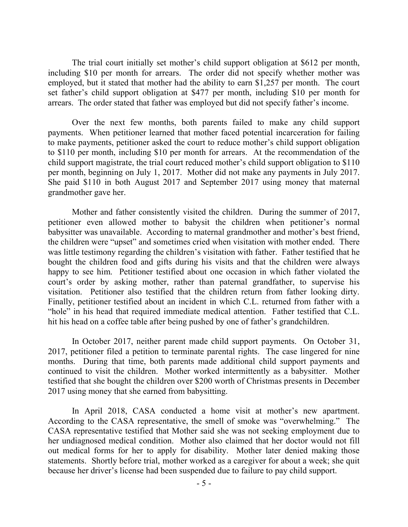The trial court initially set mother's child support obligation at \$612 per month, including \$10 per month for arrears. The order did not specify whether mother was employed, but it stated that mother had the ability to earn \$1,257 per month. The court set father's child support obligation at \$477 per month, including \$10 per month for arrears. The order stated that father was employed but did not specify father's income.

Over the next few months, both parents failed to make any child support payments. When petitioner learned that mother faced potential incarceration for failing to make payments, petitioner asked the court to reduce mother's child support obligation to \$110 per month, including \$10 per month for arrears. At the recommendation of the child support magistrate, the trial court reduced mother's child support obligation to \$110 per month, beginning on July 1, 2017. Mother did not make any payments in July 2017. She paid \$110 in both August 2017 and September 2017 using money that maternal grandmother gave her.

Mother and father consistently visited the children. During the summer of 2017, petitioner even allowed mother to babysit the children when petitioner's normal babysitter was unavailable. According to maternal grandmother and mother's best friend, the children were "upset" and sometimes cried when visitation with mother ended. There was little testimony regarding the children's visitation with father. Father testified that he bought the children food and gifts during his visits and that the children were always happy to see him. Petitioner testified about one occasion in which father violated the court's order by asking mother, rather than paternal grandfather, to supervise his visitation. Petitioner also testified that the children return from father looking dirty. Finally, petitioner testified about an incident in which C.L. returned from father with a "hole" in his head that required immediate medical attention. Father testified that C.L. hit his head on a coffee table after being pushed by one of father's grandchildren.

In October 2017, neither parent made child support payments. On October 31, 2017, petitioner filed a petition to terminate parental rights. The case lingered for nine months. During that time, both parents made additional child support payments and continued to visit the children. Mother worked intermittently as a babysitter. Mother testified that she bought the children over \$200 worth of Christmas presents in December 2017 using money that she earned from babysitting.

In April 2018, CASA conducted a home visit at mother's new apartment. According to the CASA representative, the smell of smoke was "overwhelming." The CASA representative testified that Mother said she was not seeking employment due to her undiagnosed medical condition. Mother also claimed that her doctor would not fill out medical forms for her to apply for disability. Mother later denied making those statements. Shortly before trial, mother worked as a caregiver for about a week; she quit because her driver's license had been suspended due to failure to pay child support.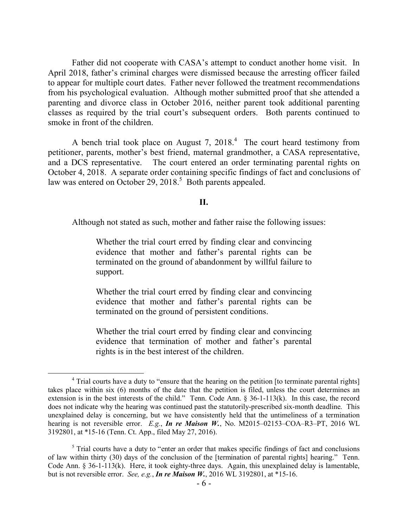Father did not cooperate with CASA's attempt to conduct another home visit. In April 2018, father's criminal charges were dismissed because the arresting officer failed to appear for multiple court dates. Father never followed the treatment recommendations from his psychological evaluation. Although mother submitted proof that she attended a parenting and divorce class in October 2016, neither parent took additional parenting classes as required by the trial court's subsequent orders. Both parents continued to smoke in front of the children.

A bench trial took place on August 7,  $2018<sup>4</sup>$ . The court heard testimony from petitioner, parents, mother's best friend, maternal grandmother, a CASA representative, and a DCS representative. The court entered an order terminating parental rights on October 4, 2018. A separate order containing specific findings of fact and conclusions of law was entered on October 29,  $2018<sup>5</sup>$  Both parents appealed.

### **II.**

Although not stated as such, mother and father raise the following issues:

Whether the trial court erred by finding clear and convincing evidence that mother and father's parental rights can be terminated on the ground of abandonment by willful failure to support.

Whether the trial court erred by finding clear and convincing evidence that mother and father's parental rights can be terminated on the ground of persistent conditions.

Whether the trial court erred by finding clear and convincing evidence that termination of mother and father's parental rights is in the best interest of the children.

<sup>&</sup>lt;sup>4</sup> Trial courts have a duty to "ensure that the hearing on the petition [to terminate parental rights] takes place within six (6) months of the date that the petition is filed, unless the court determines an extension is in the best interests of the child." Tenn. Code Ann.  $\S$  36-1-113(k). In this case, the record does not indicate why the hearing was continued past the statutorily-prescribed six-month deadline. This unexplained delay is concerning, but we have consistently held that the untimeliness of a termination hearing is not reversible error. *E.g.*, *In re Maison W.*, No. M2015–02153–COA–R3–PT, 2016 WL 3192801, at \*15-16 (Tenn. Ct. App., filed May 27, 2016).

 $<sup>5</sup>$  Trial courts have a duty to "enter an order that makes specific findings of fact and conclusions</sup> of law within thirty (30) days of the conclusion of the [termination of parental rights] hearing." Tenn. Code Ann. § 36-1-113(k). Here, it took eighty-three days. Again, this unexplained delay is lamentable, but is not reversible error. *See, e.g.*, *In re Maison W.*, 2016 WL 3192801, at \*15-16.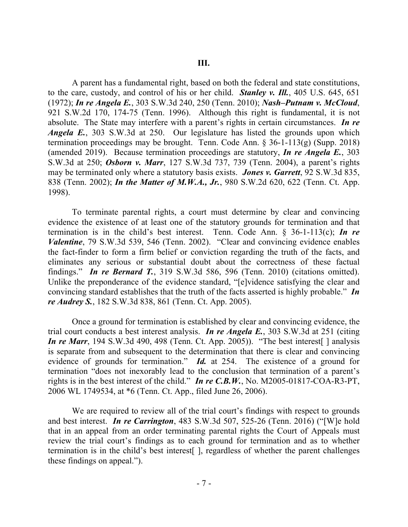A parent has a fundamental right, based on both the federal and state constitutions, to the care, custody, and control of his or her child. *Stanley v. Ill.*, 405 U.S. 645, 651 (1972); *In re Angela E.*, 303 S.W.3d 240, 250 (Tenn. 2010); *Nash–Putnam v. McCloud*, 921 S.W.2d 170, 174-75 (Tenn. 1996). Although this right is fundamental, it is not absolute. The State may interfere with a parent's rights in certain circumstances. *In re Angela E.*, 303 S.W.3d at 250. Our legislature has listed the grounds upon which termination proceedings may be brought. Tenn. Code Ann. § 36-1-113(g) (Supp. 2018) (amended 2019). Because termination proceedings are statutory, *In re Angela E.*, 303 S.W.3d at 250; *Osborn v. Marr*, 127 S.W.3d 737, 739 (Tenn. 2004), a parent's rights may be terminated only where a statutory basis exists. *Jones v. Garrett*, 92 S.W.3d 835, 838 (Tenn. 2002); *In the Matter of M.W.A., Jr.*, 980 S.W.2d 620, 622 (Tenn. Ct. App. 1998).

To terminate parental rights, a court must determine by clear and convincing evidence the existence of at least one of the statutory grounds for termination and that termination is in the child's best interest. Tenn. Code Ann. § 36-1-113(c); *In re Valentine*, 79 S.W.3d 539, 546 (Tenn. 2002). "Clear and convincing evidence enables the fact-finder to form a firm belief or conviction regarding the truth of the facts, and eliminates any serious or substantial doubt about the correctness of these factual findings." *In re Bernard T.*, 319 S.W.3d 586, 596 (Tenn. 2010) (citations omitted). Unlike the preponderance of the evidence standard, "[e]vidence satisfying the clear and convincing standard establishes that the truth of the facts asserted is highly probable." *In re Audrey S.*, 182 S.W.3d 838, 861 (Tenn. Ct. App. 2005).

Once a ground for termination is established by clear and convincing evidence, the trial court conducts a best interest analysis. *In re Angela E.*, 303 S.W.3d at 251 (citing *In re Marr*, 194 S.W.3d 490, 498 (Tenn. Ct. App. 2005)). "The best interest<sup>[</sup> ] analysis is separate from and subsequent to the determination that there is clear and convincing evidence of grounds for termination." *Id.* at 254. The existence of a ground for termination "does not inexorably lead to the conclusion that termination of a parent's rights is in the best interest of the child." *In re C.B.W.*, No. M2005-01817-COA-R3-PT, 2006 WL 1749534, at \*6 (Tenn. Ct. App., filed June 26, 2006).

We are required to review all of the trial court's findings with respect to grounds and best interest. *In re Carrington*, 483 S.W.3d 507, 525-26 (Tenn. 2016) ("[W]e hold that in an appeal from an order terminating parental rights the Court of Appeals must review the trial court's findings as to each ground for termination and as to whether termination is in the child's best interest[ ], regardless of whether the parent challenges these findings on appeal.").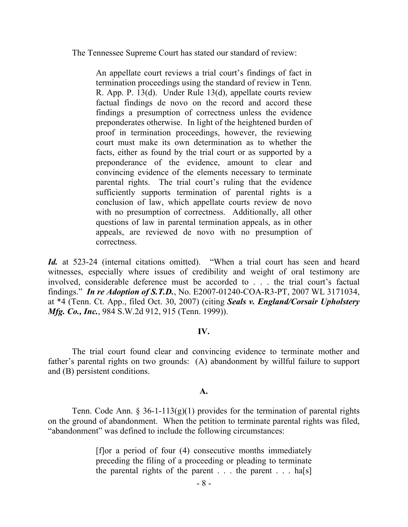The Tennessee Supreme Court has stated our standard of review:

An appellate court reviews a trial court's findings of fact in termination proceedings using the standard of review in Tenn. R. App. P. 13(d). Under Rule 13(d), appellate courts review factual findings de novo on the record and accord these findings a presumption of correctness unless the evidence preponderates otherwise. In light of the heightened burden of proof in termination proceedings, however, the reviewing court must make its own determination as to whether the facts, either as found by the trial court or as supported by a preponderance of the evidence, amount to clear and convincing evidence of the elements necessary to terminate parental rights. The trial court's ruling that the evidence sufficiently supports termination of parental rights is a conclusion of law, which appellate courts review de novo with no presumption of correctness. Additionally, all other questions of law in parental termination appeals, as in other appeals, are reviewed de novo with no presumption of correctness.

*Id.* at 523-24 (internal citations omitted). "When a trial court has seen and heard witnesses, especially where issues of credibility and weight of oral testimony are involved, considerable deference must be accorded to . . . the trial court's factual findings." *In re Adoption of S.T.D.*, No. E2007-01240-COA-R3-PT, 2007 WL 3171034, at \*4 (Tenn. Ct. App., filed Oct. 30, 2007) (citing *Seals v. England/Corsair Upholstery Mfg. Co., Inc.*, 984 S.W.2d 912, 915 (Tenn. 1999)).

### **IV.**

The trial court found clear and convincing evidence to terminate mother and father's parental rights on two grounds: (A) abandonment by willful failure to support and (B) persistent conditions.

## **A.**

Tenn. Code Ann. § 36-1-113(g)(1) provides for the termination of parental rights on the ground of abandonment. When the petition to terminate parental rights was filed, "abandonment" was defined to include the following circumstances:

> [f]or a period of four (4) consecutive months immediately preceding the filing of a proceeding or pleading to terminate the parental rights of the parent . . . the parent . . . ha[s]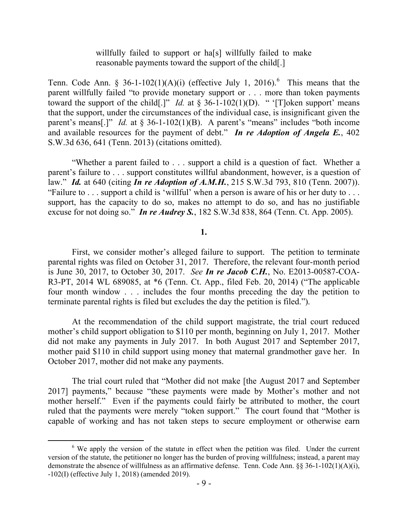## willfully failed to support or ha<sup>[s]</sup> willfully failed to make reasonable payments toward the support of the child[.]

Tenn. Code Ann. § 36-1-102(1)(A)(i) (effective July 1, 2016). <sup>6</sup> This means that the parent willfully failed "to provide monetary support or . . . more than token payments toward the support of the child[.]" *Id.* at  $\frac{8}{36}$ -1-102(1)(D). " '[T]oken support' means that the support, under the circumstances of the individual case, is insignificant given the parent's means[.]" *Id.* at § 36-1-102(1)(B). A parent's "means" includes "both income and available resources for the payment of debt." *In re Adoption of Angela E.*, 402 S.W.3d 636, 641 (Tenn. 2013) (citations omitted).

"Whether a parent failed to . . . support a child is a question of fact. Whether a parent's failure to . . . support constitutes willful abandonment, however, is a question of law." *Id.* at 640 (citing *In re Adoption of A.M.H.*, 215 S.W.3d 793, 810 (Tenn. 2007)). "Failure to . . . support a child is 'willful' when a person is aware of his or her duty to . . . support, has the capacity to do so, makes no attempt to do so, and has no justifiable excuse for not doing so." *In re Audrey S.*, 182 S.W.3d 838, 864 (Tenn. Ct. App. 2005).

## **1.**

First, we consider mother's alleged failure to support. The petition to terminate parental rights was filed on October 31, 2017. Therefore, the relevant four-month period is June 30, 2017, to October 30, 2017. *See In re Jacob C.H.*, No. E2013-00587-COA-R3-PT, 2014 WL 689085, at \*6 (Tenn. Ct. App., filed Feb. 20, 2014) ("The applicable four month window . . . includes the four months preceding the day the petition to terminate parental rights is filed but excludes the day the petition is filed.").

At the recommendation of the child support magistrate, the trial court reduced mother's child support obligation to \$110 per month, beginning on July 1, 2017. Mother did not make any payments in July 2017. In both August 2017 and September 2017, mother paid \$110 in child support using money that maternal grandmother gave her. In October 2017, mother did not make any payments.

The trial court ruled that "Mother did not make [the August 2017 and September 2017] payments," because "these payments were made by Mother's mother and not mother herself." Even if the payments could fairly be attributed to mother, the court ruled that the payments were merely "token support." The court found that "Mother is capable of working and has not taken steps to secure employment or otherwise earn

 $6\text{ We apply the version of the statue in effect when the pertinent wave field. Under the current$ version of the statute, the petitioner no longer has the burden of proving willfulness; instead, a parent may demonstrate the absence of willfulness as an affirmative defense. Tenn. Code Ann. §§ 36-1-102(1)(A)(i), -102(I) (effective July 1, 2018) (amended 2019).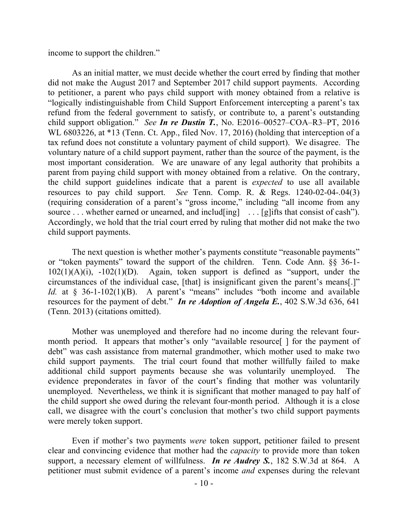income to support the children."

As an initial matter, we must decide whether the court erred by finding that mother did not make the August 2017 and September 2017 child support payments. According to petitioner, a parent who pays child support with money obtained from a relative is "logically indistinguishable from Child Support Enforcement intercepting a parent's tax refund from the federal government to satisfy, or contribute to, a parent's outstanding child support obligation." *See In re Dustin T.*, No. E2016–00527–COA–R3–PT, 2016 WL 6803226, at \*13 (Tenn. Ct. App., filed Nov. 17, 2016) (holding that interception of a tax refund does not constitute a voluntary payment of child support). We disagree. The voluntary nature of a child support payment, rather than the source of the payment, is the most important consideration. We are unaware of any legal authority that prohibits a parent from paying child support with money obtained from a relative. On the contrary, the child support guidelines indicate that a parent is *expected* to use all available resources to pay child support. *See* Tenn. Comp. R. & Regs. 1240-02-04-.04(3) (requiring consideration of a parent's "gross income," including "all income from any source . . . whether earned or unearned, and includ[ing] . . . [g]ifts that consist of cash"). Accordingly, we hold that the trial court erred by ruling that mother did not make the two child support payments.

The next question is whether mother's payments constitute "reasonable payments" or "token payments" toward the support of the children. Tenn. Code Ann. §§ 36-1-  $102(1)(A)(i)$ ,  $-102(1)(D)$ . Again, token support is defined as "support, under the circumstances of the individual case, [that] is insignificant given the parent's means[.]" *Id.* at § 36-1-102(1)(B). A parent's "means" includes "both income and available resources for the payment of debt." *In re Adoption of Angela E.*, 402 S.W.3d 636, 641 (Tenn. 2013) (citations omitted).

Mother was unemployed and therefore had no income during the relevant fourmonth period. It appears that mother's only "available resource[ ] for the payment of debt" was cash assistance from maternal grandmother, which mother used to make two child support payments. The trial court found that mother willfully failed to make additional child support payments because she was voluntarily unemployed. The evidence preponderates in favor of the court's finding that mother was voluntarily unemployed. Nevertheless, we think it is significant that mother managed to pay half of the child support she owed during the relevant four-month period. Although it is a close call, we disagree with the court's conclusion that mother's two child support payments were merely token support.

Even if mother's two payments *were* token support, petitioner failed to present clear and convincing evidence that mother had the *capacity* to provide more than token support, a necessary element of willfulness. *In re Audrey S.*, 182 S.W.3d at 864. A petitioner must submit evidence of a parent's income *and* expenses during the relevant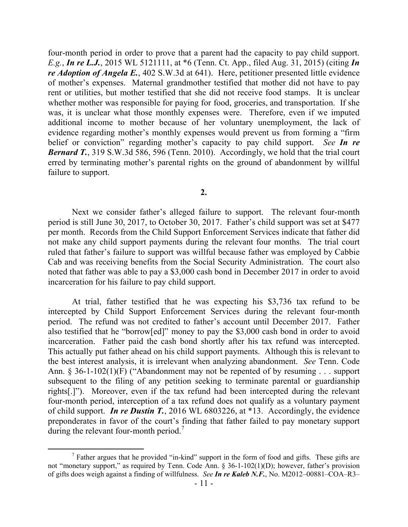four-month period in order to prove that a parent had the capacity to pay child support. *E.g.*, *In re L.J.*, 2015 WL 5121111, at \*6 (Tenn. Ct. App., filed Aug. 31, 2015) (citing *In re Adoption of Angela E.*, 402 S.W.3d at 641). Here, petitioner presented little evidence of mother's expenses. Maternal grandmother testified that mother did not have to pay rent or utilities, but mother testified that she did not receive food stamps. It is unclear whether mother was responsible for paying for food, groceries, and transportation. If she was, it is unclear what those monthly expenses were. Therefore, even if we imputed additional income to mother because of her voluntary unemployment, the lack of evidence regarding mother's monthly expenses would prevent us from forming a "firm belief or conviction" regarding mother's capacity to pay child support. *See In re Bernard T.*, 319 S.W.3d 586, 596 (Tenn. 2010). Accordingly, we hold that the trial court erred by terminating mother's parental rights on the ground of abandonment by willful failure to support.

Next we consider father's alleged failure to support. The relevant four-month period is still June 30, 2017, to October 30, 2017. Father's child support was set at \$477 per month. Records from the Child Support Enforcement Services indicate that father did not make any child support payments during the relevant four months. The trial court ruled that father's failure to support was willful because father was employed by Cabbie Cab and was receiving benefits from the Social Security Administration. The court also noted that father was able to pay a \$3,000 cash bond in December 2017 in order to avoid incarceration for his failure to pay child support.

At trial, father testified that he was expecting his \$3,736 tax refund to be intercepted by Child Support Enforcement Services during the relevant four-month period. The refund was not credited to father's account until December 2017. Father also testified that he "borrow[ed]" money to pay the \$3,000 cash bond in order to avoid incarceration. Father paid the cash bond shortly after his tax refund was intercepted. This actually put father ahead on his child support payments. Although this is relevant to the best interest analysis, it is irrelevant when analyzing abandonment. *See* Tenn. Code Ann. § 36-1-102(1)(F) ("Abandonment may not be repented of by resuming . . . support subsequent to the filing of any petition seeking to terminate parental or guardianship rights[.]"). Moreover, even if the tax refund had been intercepted during the relevant four-month period, interception of a tax refund does not qualify as a voluntary payment of child support. *In re Dustin T.*, 2016 WL 6803226, at \*13. Accordingly, the evidence preponderates in favor of the court's finding that father failed to pay monetary support during the relevant four-month period.<sup>7</sup>

 $<sup>7</sup>$  Father argues that he provided "in-kind" support in the form of food and gifts. These gifts are</sup> not "monetary support," as required by Tenn. Code Ann. § 36-1-102(1)(D); however, father's provision of gifts does weigh against a finding of willfulness. *See In re Kaleb N.F.*, No. M2012–00881–COA–R3–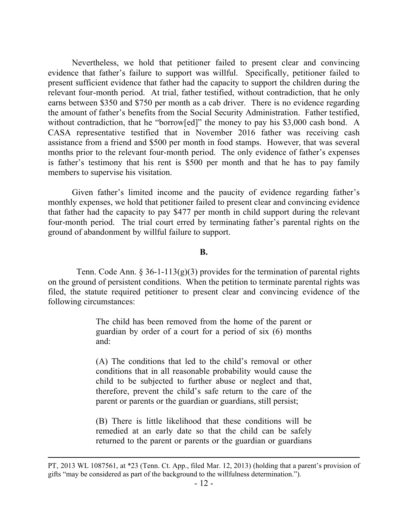Nevertheless, we hold that petitioner failed to present clear and convincing evidence that father's failure to support was willful. Specifically, petitioner failed to present sufficient evidence that father had the capacity to support the children during the relevant four-month period. At trial, father testified, without contradiction, that he only earns between \$350 and \$750 per month as a cab driver. There is no evidence regarding the amount of father's benefits from the Social Security Administration. Father testified, without contradiction, that he "borrow[ed]" the money to pay his \$3,000 cash bond. A CASA representative testified that in November 2016 father was receiving cash assistance from a friend and \$500 per month in food stamps. However, that was several months prior to the relevant four-month period. The only evidence of father's expenses is father's testimony that his rent is \$500 per month and that he has to pay family members to supervise his visitation.

Given father's limited income and the paucity of evidence regarding father's monthly expenses, we hold that petitioner failed to present clear and convincing evidence that father had the capacity to pay \$477 per month in child support during the relevant four-month period. The trial court erred by terminating father's parental rights on the ground of abandonment by willful failure to support.

### **B.**

Tenn. Code Ann. § 36-1-113(g)(3) provides for the termination of parental rights on the ground of persistent conditions. When the petition to terminate parental rights was filed, the statute required petitioner to present clear and convincing evidence of the following circumstances:

> The child has been removed from the home of the parent or guardian by order of a court for a period of six (6) months and:

> (A) The conditions that led to the child's removal or other conditions that in all reasonable probability would cause the child to be subjected to further abuse or neglect and that, therefore, prevent the child's safe return to the care of the parent or parents or the guardian or guardians, still persist;

> (B) There is little likelihood that these conditions will be remedied at an early date so that the child can be safely returned to the parent or parents or the guardian or guardians

PT, 2013 WL 1087561, at \*23 (Tenn. Ct. App., filed Mar. 12, 2013) (holding that a parent's provision of gifts "may be considered as part of the background to the willfulness determination.").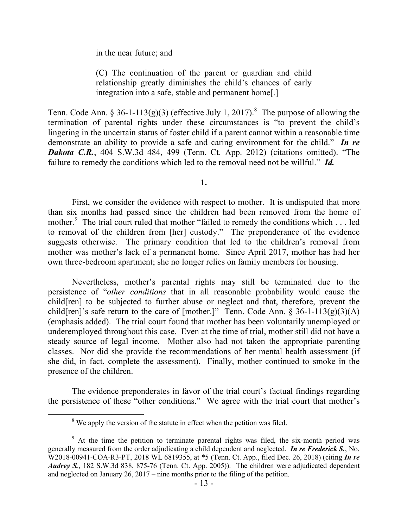in the near future; and

(C) The continuation of the parent or guardian and child relationship greatly diminishes the child's chances of early integration into a safe, stable and permanent home[.]

Tenn. Code Ann. § 36-1-113(g)(3) (effective July 1, 2017).<sup>8</sup> The purpose of allowing the termination of parental rights under these circumstances is "to prevent the child's lingering in the uncertain status of foster child if a parent cannot within a reasonable time demonstrate an ability to provide a safe and caring environment for the child." *In re Dakota C.R.*, 404 S.W.3d 484, 499 (Tenn. Ct. App. 2012) (citations omitted). "The failure to remedy the conditions which led to the removal need not be willful." *Id.*

**1.**

First, we consider the evidence with respect to mother. It is undisputed that more than six months had passed since the children had been removed from the home of mother.<sup>9</sup> The trial court ruled that mother "failed to remedy the conditions which . . . led to removal of the children from [her] custody." The preponderance of the evidence suggests otherwise. The primary condition that led to the children's removal from mother was mother's lack of a permanent home. Since April 2017, mother has had her own three-bedroom apartment; she no longer relies on family members for housing.

Nevertheless, mother's parental rights may still be terminated due to the persistence of "*other conditions* that in all reasonable probability would cause the child[ren] to be subjected to further abuse or neglect and that, therefore, prevent the child[ren]'s safe return to the care of [mother.]" Tenn. Code Ann. § 36-1-113(g)(3)(A) (emphasis added). The trial court found that mother has been voluntarily unemployed or underemployed throughout this case. Even at the time of trial, mother still did not have a steady source of legal income. Mother also had not taken the appropriate parenting classes. Nor did she provide the recommendations of her mental health assessment (if she did, in fact, complete the assessment). Finally, mother continued to smoke in the presence of the children.

The evidence preponderates in favor of the trial court's factual findings regarding the persistence of these "other conditions." We agree with the trial court that mother's

<sup>&</sup>lt;sup>8</sup> We apply the version of the statute in effect when the petition was filed.

 $9<sup>9</sup>$  At the time the petition to terminate parental rights was filed, the six-month period was generally measured from the order adjudicating a child dependent and neglected. *In re Frederick S.*, No. W2018-00941-COA-R3-PT, 2018 WL 6819355, at \*5 (Tenn. Ct. App., filed Dec. 26, 2018) (citing *In re Audrey S.*, 182 S.W.3d 838, 875-76 (Tenn. Ct. App. 2005)). The children were adjudicated dependent and neglected on January 26, 2017 – nine months prior to the filing of the petition.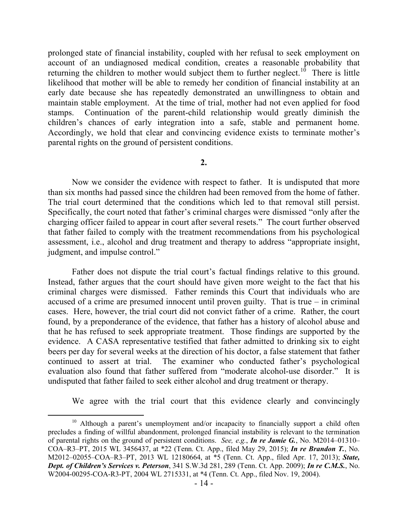prolonged state of financial instability, coupled with her refusal to seek employment on account of an undiagnosed medical condition, creates a reasonable probability that returning the children to mother would subject them to further neglect.<sup>10</sup> There is little likelihood that mother will be able to remedy her condition of financial instability at an early date because she has repeatedly demonstrated an unwillingness to obtain and maintain stable employment. At the time of trial, mother had not even applied for food stamps. Continuation of the parent-child relationship would greatly diminish the children's chances of early integration into a safe, stable and permanent home. Accordingly, we hold that clear and convincing evidence exists to terminate mother's parental rights on the ground of persistent conditions.

**2.**

Now we consider the evidence with respect to father. It is undisputed that more than six months had passed since the children had been removed from the home of father. The trial court determined that the conditions which led to that removal still persist. Specifically, the court noted that father's criminal charges were dismissed "only after the charging officer failed to appear in court after several resets." The court further observed that father failed to comply with the treatment recommendations from his psychological assessment, i.e., alcohol and drug treatment and therapy to address "appropriate insight, judgment, and impulse control."

Father does not dispute the trial court's factual findings relative to this ground. Instead, father argues that the court should have given more weight to the fact that his criminal charges were dismissed. Father reminds this Court that individuals who are accused of a crime are presumed innocent until proven guilty. That is true – in criminal cases. Here, however, the trial court did not convict father of a crime. Rather, the court found, by a preponderance of the evidence, that father has a history of alcohol abuse and that he has refused to seek appropriate treatment. Those findings are supported by the evidence. A CASA representative testified that father admitted to drinking six to eight beers per day for several weeks at the direction of his doctor, a false statement that father continued to assert at trial. The examiner who conducted father's psychological evaluation also found that father suffered from "moderate alcohol-use disorder." It is undisputed that father failed to seek either alcohol and drug treatment or therapy.

We agree with the trial court that this evidence clearly and convincingly

 $10$  Although a parent's unemployment and/or incapacity to financially support a child often precludes a finding of willful abandonment, prolonged financial instability is relevant to the termination of parental rights on the ground of persistent conditions. *See, e.g.*, *In re Jamie G.*, No. M2014–01310– COA–R3–PT, 2015 WL 3456437, at \*22 (Tenn. Ct. App., filed May 29, 2015); *In re Brandon T.*, No. M2012–02055–COA–R3–PT, 2013 WL 12180664, at \*5 (Tenn. Ct. App., filed Apr. 17, 2013); *State, Dept. of Children's Services v. Peterson*, 341 S.W.3d 281, 289 (Tenn. Ct. App. 2009); *In re C.M.S.*, No. W2004-00295-COA-R3-PT, 2004 WL 2715331, at \*4 (Tenn. Ct. App., filed Nov. 19, 2004).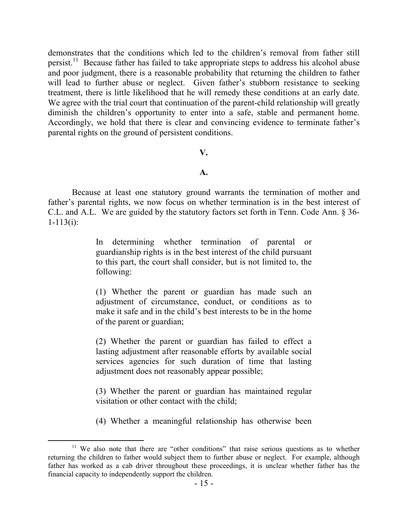demonstrates that the conditions which led to the children's removal from father still persist.<sup>11</sup> Because father has failed to take appropriate steps to address his alcohol abuse and poor judgment, there is a reasonable probability that returning the children to father will lead to further abuse or neglect. Given father's stubborn resistance to seeking treatment, there is little likelihood that he will remedy these conditions at an early date. We agree with the trial court that continuation of the parent-child relationship will greatly diminish the children's opportunity to enter into a safe, stable and permanent home. Accordingly, we hold that there is clear and convincing evidence to terminate father's parental rights on the ground of persistent conditions.

#### **V.**

## **A.**

Because at least one statutory ground warrants the termination of mother and father's parental rights, we now focus on whether termination is in the best interest of C.L. and A.L. We are guided by the statutory factors set forth in Tenn. Code Ann. § 36-  $1 - 113(i)$ :

> In determining whether termination of parental or guardianship rights is in the best interest of the child pursuant to this part, the court shall consider, but is not limited to, the following:

> (1) Whether the parent or guardian has made such an adjustment of circumstance, conduct, or conditions as to make it safe and in the child's best interests to be in the home of the parent or guardian;

> (2) Whether the parent or guardian has failed to effect a lasting adjustment after reasonable efforts by available social services agencies for such duration of time that lasting adjustment does not reasonably appear possible;

> (3) Whether the parent or guardian has maintained regular visitation or other contact with the child;

> (4) Whether a meaningful relationship has otherwise been

<sup>&</sup>lt;sup>11</sup> We also note that there are "other conditions" that raise serious questions as to whether returning the children to father would subject them to further abuse or neglect. For example, although father has worked as a cab driver throughout these proceedings, it is unclear whether father has the financial capacity to independently support the children.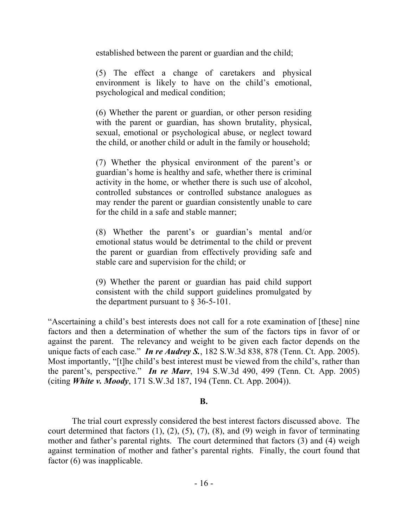established between the parent or guardian and the child;

(5) The effect a change of caretakers and physical environment is likely to have on the child's emotional, psychological and medical condition;

(6) Whether the parent or guardian, or other person residing with the parent or guardian, has shown brutality, physical, sexual, emotional or psychological abuse, or neglect toward the child, or another child or adult in the family or household;

(7) Whether the physical environment of the parent's or guardian's home is healthy and safe, whether there is criminal activity in the home, or whether there is such use of alcohol, controlled substances or controlled substance analogues as may render the parent or guardian consistently unable to care for the child in a safe and stable manner;

(8) Whether the parent's or guardian's mental and/or emotional status would be detrimental to the child or prevent the parent or guardian from effectively providing safe and stable care and supervision for the child; or

(9) Whether the parent or guardian has paid child support consistent with the child support guidelines promulgated by the department pursuant to § 36-5-101.

"Ascertaining a child's best interests does not call for a rote examination of [these] nine factors and then a determination of whether the sum of the factors tips in favor of or against the parent. The relevancy and weight to be given each factor depends on the unique facts of each case." *In re Audrey S.*, 182 S.W.3d 838, 878 (Tenn. Ct. App. 2005). Most importantly, "[t]he child's best interest must be viewed from the child's, rather than the parent's, perspective." *In re Marr*, 194 S.W.3d 490, 499 (Tenn. Ct. App. 2005) (citing *White v. Moody*, 171 S.W.3d 187, 194 (Tenn. Ct. App. 2004)).

## **B.**

The trial court expressly considered the best interest factors discussed above. The court determined that factors  $(1)$ ,  $(2)$ ,  $(5)$ ,  $(7)$ ,  $(8)$ , and  $(9)$  weigh in favor of terminating mother and father's parental rights. The court determined that factors (3) and (4) weigh against termination of mother and father's parental rights. Finally, the court found that factor (6) was inapplicable.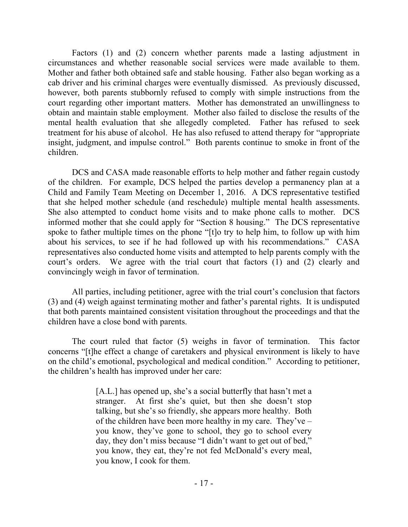Factors (1) and (2) concern whether parents made a lasting adjustment in circumstances and whether reasonable social services were made available to them. Mother and father both obtained safe and stable housing. Father also began working as a cab driver and his criminal charges were eventually dismissed. As previously discussed, however, both parents stubbornly refused to comply with simple instructions from the court regarding other important matters. Mother has demonstrated an unwillingness to obtain and maintain stable employment. Mother also failed to disclose the results of the mental health evaluation that she allegedly completed. Father has refused to seek treatment for his abuse of alcohol. He has also refused to attend therapy for "appropriate insight, judgment, and impulse control." Both parents continue to smoke in front of the children.

DCS and CASA made reasonable efforts to help mother and father regain custody of the children. For example, DCS helped the parties develop a permanency plan at a Child and Family Team Meeting on December 1, 2016. A DCS representative testified that she helped mother schedule (and reschedule) multiple mental health assessments. She also attempted to conduct home visits and to make phone calls to mother. DCS informed mother that she could apply for "Section 8 housing." The DCS representative spoke to father multiple times on the phone "[t]o try to help him, to follow up with him about his services, to see if he had followed up with his recommendations." CASA representatives also conducted home visits and attempted to help parents comply with the court's orders. We agree with the trial court that factors (1) and (2) clearly and convincingly weigh in favor of termination.

All parties, including petitioner, agree with the trial court's conclusion that factors (3) and (4) weigh against terminating mother and father's parental rights. It is undisputed that both parents maintained consistent visitation throughout the proceedings and that the children have a close bond with parents.

The court ruled that factor (5) weighs in favor of termination. This factor concerns "[t]he effect a change of caretakers and physical environment is likely to have on the child's emotional, psychological and medical condition." According to petitioner, the children's health has improved under her care:

> [A.L.] has opened up, she's a social butterfly that hasn't met a stranger. At first she's quiet, but then she doesn't stop talking, but she's so friendly, she appears more healthy. Both of the children have been more healthy in my care. They've – you know, they've gone to school, they go to school every day, they don't miss because "I didn't want to get out of bed," you know, they eat, they're not fed McDonald's every meal, you know, I cook for them.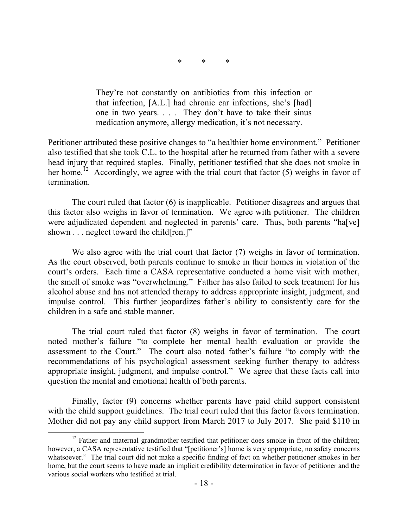\* \* \*

They're not constantly on antibiotics from this infection or that infection, [A.L.] had chronic ear infections, she's [had] one in two years. . . . They don't have to take their sinus medication anymore, allergy medication, it's not necessary.

Petitioner attributed these positive changes to "a healthier home environment." Petitioner also testified that she took C.L. to the hospital after he returned from father with a severe head injury that required staples. Finally, petitioner testified that she does not smoke in her home.<sup>12</sup> Accordingly, we agree with the trial court that factor (5) weighs in favor of termination.

The court ruled that factor (6) is inapplicable. Petitioner disagrees and argues that this factor also weighs in favor of termination. We agree with petitioner. The children were adjudicated dependent and neglected in parents' care. Thus, both parents "ha[ve] shown . . . neglect toward the child[ren.]"

We also agree with the trial court that factor (7) weighs in favor of termination. As the court observed, both parents continue to smoke in their homes in violation of the court's orders. Each time a CASA representative conducted a home visit with mother, the smell of smoke was "overwhelming." Father has also failed to seek treatment for his alcohol abuse and has not attended therapy to address appropriate insight, judgment, and impulse control. This further jeopardizes father's ability to consistently care for the children in a safe and stable manner.

The trial court ruled that factor (8) weighs in favor of termination. The court noted mother's failure "to complete her mental health evaluation or provide the assessment to the Court." The court also noted father's failure "to comply with the recommendations of his psychological assessment seeking further therapy to address appropriate insight, judgment, and impulse control." We agree that these facts call into question the mental and emotional health of both parents.

Finally, factor (9) concerns whether parents have paid child support consistent with the child support guidelines. The trial court ruled that this factor favors termination. Mother did not pay any child support from March 2017 to July 2017. She paid \$110 in

 $12$  Father and maternal grandmother testified that petitioner does smoke in front of the children; however, a CASA representative testified that "[petitioner's] home is very appropriate, no safety concerns whatsoever." The trial court did not make a specific finding of fact on whether petitioner smokes in her home, but the court seems to have made an implicit credibility determination in favor of petitioner and the various social workers who testified at trial.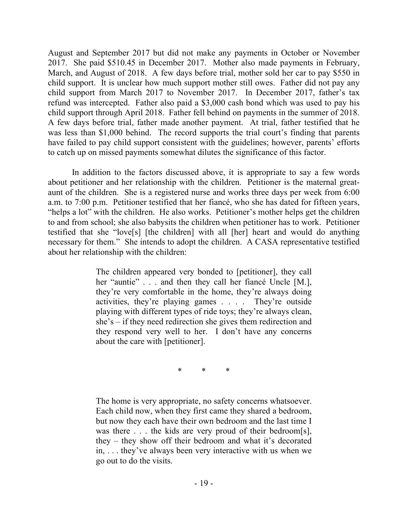August and September 2017 but did not make any payments in October or November 2017. She paid \$510.45 in December 2017. Mother also made payments in February, March, and August of 2018. A few days before trial, mother sold her car to pay \$550 in child support. It is unclear how much support mother still owes. Father did not pay any child support from March 2017 to November 2017. In December 2017, father's tax refund was intercepted. Father also paid a \$3,000 cash bond which was used to pay his child support through April 2018. Father fell behind on payments in the summer of 2018. A few days before trial, father made another payment. At trial, father testified that he was less than \$1,000 behind. The record supports the trial court's finding that parents have failed to pay child support consistent with the guidelines; however, parents' efforts to catch up on missed payments somewhat dilutes the significance of this factor.

In addition to the factors discussed above, it is appropriate to say a few words about petitioner and her relationship with the children. Petitioner is the maternal greataunt of the children. She is a registered nurse and works three days per week from 6:00 a.m. to 7:00 p.m. Petitioner testified that her fiancé, who she has dated for fifteen years, "helps a lot" with the children. He also works. Petitioner's mother helps get the children to and from school; she also babysits the children when petitioner has to work. Petitioner testified that she "love[s] [the children] with all [her] heart and would do anything necessary for them." She intends to adopt the children. A CASA representative testified about her relationship with the children:

> The children appeared very bonded to [petitioner], they call her "auntie" . . . and then they call her fiance Uncle [M.], they're very comfortable in the home, they're always doing activities, they're playing games . . . . They're outside playing with different types of ride toys; they're always clean, she's – if they need redirection she gives them redirection and they respond very well to her. I don't have any concerns about the care with [petitioner].

> > \* \* \*

The home is very appropriate, no safety concerns whatsoever. Each child now, when they first came they shared a bedroom, but now they each have their own bedroom and the last time I was there . . . the kids are very proud of their bedroom[s], they – they show off their bedroom and what it's decorated in, . . . they've always been very interactive with us when we go out to do the visits.